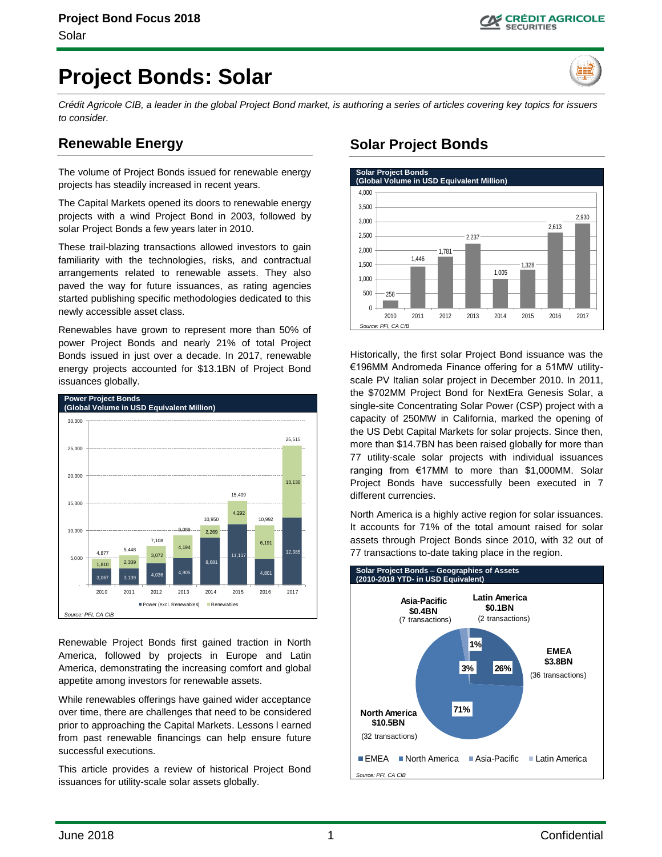# **Project Bonds: Solar**

*Crédit Agricole CIB, a leader in the global Project Bond market, is authoring a series of articles covering key topics for issuers to consider.*

# **Renewable Energy**

The volume of Project Bonds issued for renewable energy projects has steadily increased in recent years.

The Capital Markets opened its doors to renewable energy projects with a wind Project Bond in 2003, followed by solar Project Bonds a few years later in 2010.

These trail-blazing transactions allowed investors to gain familiarity with the technologies, risks, and contractual arrangements related to renewable assets. They also paved the way for future issuances, as rating agencies started publishing specific methodologies dedicated to this newly accessible asset class.

Renewables have grown to represent more than 50% of power Project Bonds and nearly 21% of total Project Bonds issued in just over a decade. In 2017, renewable energy projects accounted for \$13.1BN of Project Bond issuances globally.



Renewable Project Bonds first gained traction in North America, followed by projects in Europe and Latin America, demonstrating the increasing comfort and global appetite among investors for renewable assets.

While renewables offerings have gained wider acceptance over time, there are challenges that need to be considered prior to approaching the Capital Markets. Lessons l earned from past renewable financings can help ensure future successful executions.

This article provides a review of historical Project Bond issuances for utility-scale solar assets globally.

# **Solar Project Bonds**



Historically, the first solar Project Bond issuance was the €196MM Andromeda Finance offering for a 51MW utilityscale PV Italian solar project in December 2010. In 2011, the \$702MM Project Bond for NextEra Genesis Solar, a single-site Concentrating Solar Power (CSP) project with a capacity of 250MW in California, marked the opening of the US Debt Capital Markets for solar projects. Since then, more than \$14.7BN has been raised globally for more than 77 utility-scale solar projects with individual issuances ranging from €17MM to more than \$1,000MM. Solar Project Bonds have successfully been executed in 7 different currencies.

North America is a highly active region for solar issuances. It accounts for 71% of the total amount raised for solar assets through Project Bonds since 2010, with 32 out of 77 transactions to-date taking place in the region.

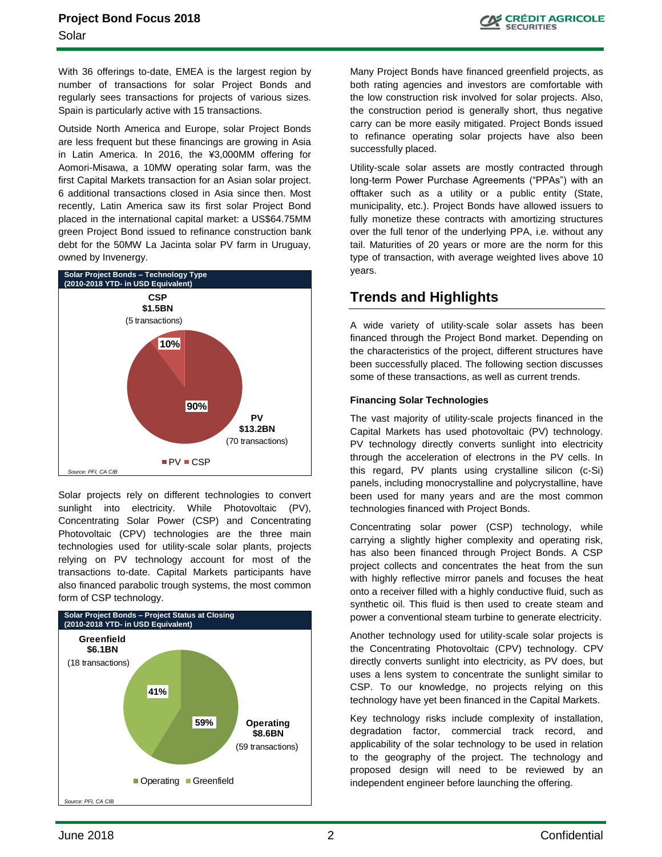With 36 offerings to-date, EMEA is the largest region by number of transactions for solar Project Bonds and regularly sees transactions for projects of various sizes. Spain is particularly active with 15 transactions.

Outside North America and Europe, solar Project Bonds are less frequent but these financings are growing in Asia in Latin America. In 2016, the ¥3,000MM offering for Aomori-Misawa, a 10MW operating solar farm, was the first Capital Markets transaction for an Asian solar project. 6 additional transactions closed in Asia since then. Most recently, Latin America saw its first solar Project Bond placed in the international capital market: a US\$64.75MM green Project Bond issued to refinance construction bank debt for the 50MW La Jacinta solar PV farm in Uruguay, owned by Invenergy.



Solar projects rely on different technologies to convert sunlight into electricity. While Photovoltaic (PV), Concentrating Solar Power (CSP) and Concentrating Photovoltaic (CPV) technologies are the three main technologies used for utility-scale solar plants, projects relying on PV technology account for most of the transactions to-date. Capital Markets participants have also financed parabolic trough systems, the most common form of CSP technology.



Many Project Bonds have financed greenfield projects, as both rating agencies and investors are comfortable with the low construction risk involved for solar projects. Also, the construction period is generally short, thus negative carry can be more easily mitigated. Project Bonds issued to refinance operating solar projects have also been successfully placed.

Utility-scale solar assets are mostly contracted through long-term Power Purchase Agreements ("PPAs") with an offtaker such as a utility or a public entity (State, municipality, etc.). Project Bonds have allowed issuers to fully monetize these contracts with amortizing structures over the full tenor of the underlying PPA, i.e. without any tail. Maturities of 20 years or more are the norm for this type of transaction, with average weighted lives above 10 years.

# **Trends and Highlights**

A wide variety of utility-scale solar assets has been financed through the Project Bond market. Depending on the characteristics of the project, different structures have been successfully placed. The following section discusses some of these transactions, as well as current trends.

#### **Financing Solar Technologies**

The vast majority of utility-scale projects financed in the Capital Markets has used photovoltaic (PV) technology. PV technology directly converts sunlight into electricity through the acceleration of electrons in the PV cells. In this regard, PV plants using crystalline silicon (c-Si) panels, including monocrystalline and polycrystalline, have been used for many years and are the most common technologies financed with Project Bonds.

Concentrating solar power (CSP) technology, while carrying a slightly higher complexity and operating risk, has also been financed through Project Bonds. A CSP project collects and concentrates the heat from the sun with highly reflective mirror panels and focuses the heat onto a receiver filled with a highly conductive fluid, such as synthetic oil. This fluid is then used to create steam and power a conventional steam turbine to generate electricity.

Another technology used for utility-scale solar projects is the Concentrating Photovoltaic (CPV) technology. CPV directly converts sunlight into electricity, as PV does, but uses a lens system to concentrate the sunlight similar to CSP. To our knowledge, no projects relying on this technology have yet been financed in the Capital Markets.

Key technology risks include complexity of installation, degradation factor, commercial track record, and applicability of the solar technology to be used in relation to the geography of the project. The technology and proposed design will need to be reviewed by an independent engineer before launching the offering.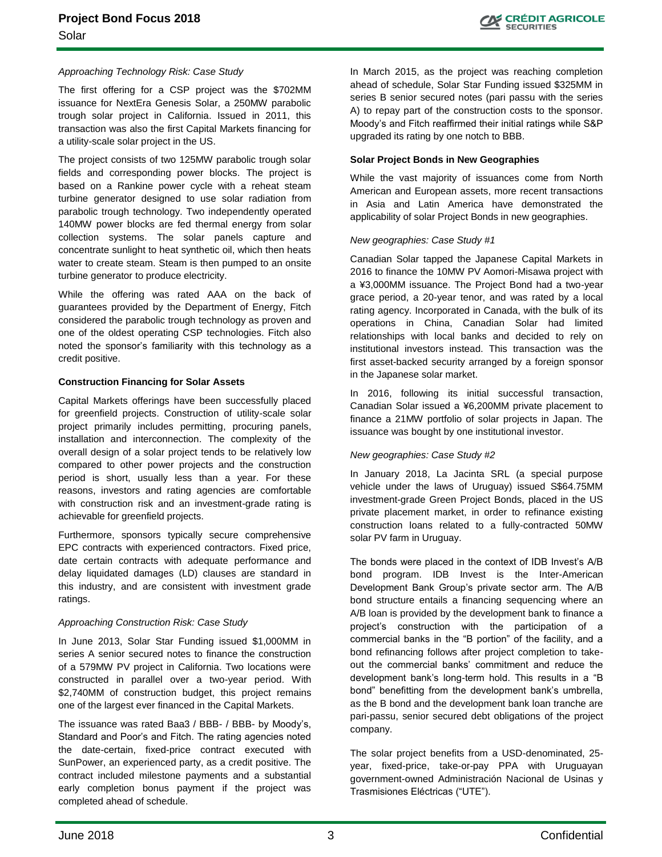#### *Approaching Technology Risk: Case Study*

The first offering for a CSP project was the \$702MM issuance for NextEra Genesis Solar, a 250MW parabolic trough solar project in California. Issued in 2011, this transaction was also the first Capital Markets financing for a utility-scale solar project in the US.

The project consists of two 125MW parabolic trough solar fields and corresponding power blocks. The project is based on a Rankine power cycle with a reheat steam turbine generator designed to use solar radiation from parabolic trough technology. Two independently operated 140MW power blocks are fed thermal energy from solar collection systems. The solar panels capture and concentrate sunlight to heat synthetic oil, which then heats water to create steam. Steam is then pumped to an onsite turbine generator to produce electricity.

While the offering was rated AAA on the back of guarantees provided by the Department of Energy, Fitch considered the parabolic trough technology as proven and one of the oldest operating CSP technologies. Fitch also noted the sponsor's familiarity with this technology as a credit positive.

#### **Construction Financing for Solar Assets**

Capital Markets offerings have been successfully placed for greenfield projects. Construction of utility-scale solar project primarily includes permitting, procuring panels, installation and interconnection. The complexity of the overall design of a solar project tends to be relatively low compared to other power projects and the construction period is short, usually less than a year. For these reasons, investors and rating agencies are comfortable with construction risk and an investment-grade rating is achievable for greenfield projects.

Furthermore, sponsors typically secure comprehensive EPC contracts with experienced contractors. Fixed price, date certain contracts with adequate performance and delay liquidated damages (LD) clauses are standard in this industry, and are consistent with investment grade ratings.

#### *Approaching Construction Risk: Case Study*

In June 2013, Solar Star Funding issued \$1,000MM in series A senior secured notes to finance the construction of a 579MW PV project in California. Two locations were constructed in parallel over a two-year period. With \$2,740MM of construction budget, this project remains one of the largest ever financed in the Capital Markets.

The issuance was rated Baa3 / BBB- / BBB- by Moody's, Standard and Poor's and Fitch. The rating agencies noted the date-certain, fixed-price contract executed with SunPower, an experienced party, as a credit positive. The contract included milestone payments and a substantial early completion bonus payment if the project was completed ahead of schedule.

In March 2015, as the project was reaching completion ahead of schedule, Solar Star Funding issued \$325MM in series B senior secured notes (pari passu with the series A) to repay part of the construction costs to the sponsor. Moody's and Fitch reaffirmed their initial ratings while S&P upgraded its rating by one notch to BBB.

#### **Solar Project Bonds in New Geographies**

While the vast majority of issuances come from North American and European assets, more recent transactions in Asia and Latin America have demonstrated the applicability of solar Project Bonds in new geographies.

#### *New geographies: Case Study #1*

Canadian Solar tapped the Japanese Capital Markets in 2016 to finance the 10MW PV Aomori-Misawa project with a ¥3,000MM issuance. The Project Bond had a two-year grace period, a 20-year tenor, and was rated by a local rating agency. Incorporated in Canada, with the bulk of its operations in China, Canadian Solar had limited relationships with local banks and decided to rely on institutional investors instead. This transaction was the first asset-backed security arranged by a foreign sponsor in the Japanese solar market.

In 2016, following its initial successful transaction, Canadian Solar issued a ¥6,200MM private placement to finance a 21MW portfolio of solar projects in Japan. The issuance was bought by one institutional investor.

#### *New geographies: Case Study #2*

In January 2018, La Jacinta SRL (a special purpose vehicle under the laws of Uruguay) issued S\$64.75MM investment-grade Green Project Bonds, placed in the US private placement market, in order to refinance existing construction loans related to a fully-contracted 50MW solar PV farm in Uruguay.

The bonds were placed in the context of IDB Invest's A/B bond program. IDB Invest is the Inter-American Development Bank Group's private sector arm. The A/B bond structure entails a financing sequencing where an A/B loan is provided by the development bank to finance a project's construction with the participation of a commercial banks in the "B portion" of the facility, and a bond refinancing follows after project completion to takeout the commercial banks' commitment and reduce the development bank's long-term hold. This results in a "B bond" benefitting from the development bank's umbrella, as the B bond and the development bank loan tranche are pari-passu, senior secured debt obligations of the project company.

The solar project benefits from a USD-denominated, 25 year, fixed-price, take-or-pay PPA with Uruguayan government-owned Administración Nacional de Usinas y Trasmisiones Eléctricas ("UTE").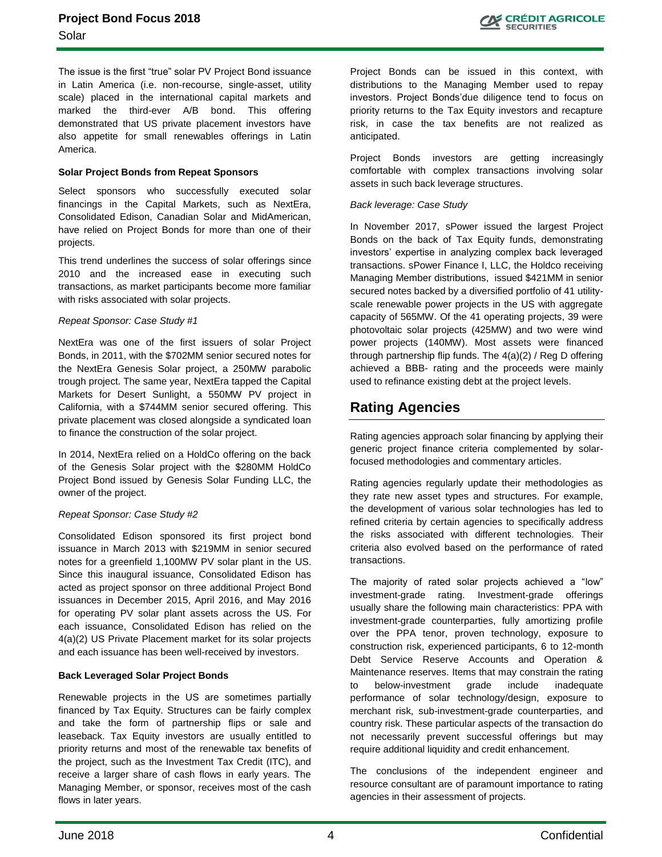The issue is the first "true" solar PV Project Bond issuance in Latin America (i.e. non-recourse, single-asset, utility scale) placed in the international capital markets and marked the third-ever A/B bond. This offering demonstrated that US private placement investors have also appetite for small renewables offerings in Latin America.

#### **Solar Project Bonds from Repeat Sponsors**

Select sponsors who successfully executed solar financings in the Capital Markets, such as NextEra, Consolidated Edison, Canadian Solar and MidAmerican, have relied on Project Bonds for more than one of their projects.

This trend underlines the success of solar offerings since 2010 and the increased ease in executing such transactions, as market participants become more familiar with risks associated with solar projects.

#### *Repeat Sponsor: Case Study #1*

NextEra was one of the first issuers of solar Project Bonds, in 2011, with the \$702MM senior secured notes for the NextEra Genesis Solar project, a 250MW parabolic trough project. The same year, NextEra tapped the Capital Markets for Desert Sunlight, a 550MW PV project in California, with a \$744MM senior secured offering. This private placement was closed alongside a syndicated loan to finance the construction of the solar project.

In 2014, NextEra relied on a HoldCo offering on the back of the Genesis Solar project with the \$280MM HoldCo Project Bond issued by Genesis Solar Funding LLC, the owner of the project.

#### *Repeat Sponsor: Case Study #2*

Consolidated Edison sponsored its first project bond issuance in March 2013 with \$219MM in senior secured notes for a greenfield 1,100MW PV solar plant in the US. Since this inaugural issuance, Consolidated Edison has acted as project sponsor on three additional Project Bond issuances in December 2015, April 2016, and May 2016 for operating PV solar plant assets across the US. For each issuance, Consolidated Edison has relied on the 4(a)(2) US Private Placement market for its solar projects and each issuance has been well-received by investors.

#### **Back Leveraged Solar Project Bonds**

Renewable projects in the US are sometimes partially financed by Tax Equity. Structures can be fairly complex and take the form of partnership flips or sale and leaseback. Tax Equity investors are usually entitled to priority returns and most of the renewable tax benefits of the project, such as the Investment Tax Credit (ITC), and receive a larger share of cash flows in early years. The Managing Member, or sponsor, receives most of the cash flows in later years.

Project Bonds can be issued in this context, with distributions to the Managing Member used to repay investors. Project Bonds'due diligence tend to focus on priority returns to the Tax Equity investors and recapture risk, in case the tax benefits are not realized as anticipated.

Project Bonds investors are getting increasingly comfortable with complex transactions involving solar assets in such back leverage structures.

#### *Back leverage: Case Study*

In November 2017, sPower issued the largest Project Bonds on the back of Tax Equity funds, demonstrating investors' expertise in analyzing complex back leveraged transactions. sPower Finance I, LLC, the Holdco receiving Managing Member distributions, issued \$421MM in senior secured notes backed by a diversified portfolio of 41 utilityscale renewable power projects in the US with aggregate capacity of 565MW. Of the 41 operating projects, 39 were photovoltaic solar projects (425MW) and two were wind power projects (140MW). Most assets were financed through partnership flip funds. The 4(a)(2) / Reg D offering achieved a BBB- rating and the proceeds were mainly used to refinance existing debt at the project levels.

# **Rating Agencies**

Rating agencies approach solar financing by applying their generic project finance criteria complemented by solarfocused methodologies and commentary articles.

Rating agencies regularly update their methodologies as they rate new asset types and structures. For example, the development of various solar technologies has led to refined criteria by certain agencies to specifically address the risks associated with different technologies. Their criteria also evolved based on the performance of rated transactions.

The majority of rated solar projects achieved a "low" investment-grade rating. Investment-grade offerings usually share the following main characteristics: PPA with investment-grade counterparties, fully amortizing profile over the PPA tenor, proven technology, exposure to construction risk, experienced participants, 6 to 12-month Debt Service Reserve Accounts and Operation & Maintenance reserves. Items that may constrain the rating to below-investment grade include inadequate performance of solar technology/design, exposure to merchant risk, sub-investment-grade counterparties, and country risk. These particular aspects of the transaction do not necessarily prevent successful offerings but may require additional liquidity and credit enhancement.

The conclusions of the independent engineer and resource consultant are of paramount importance to rating agencies in their assessment of projects.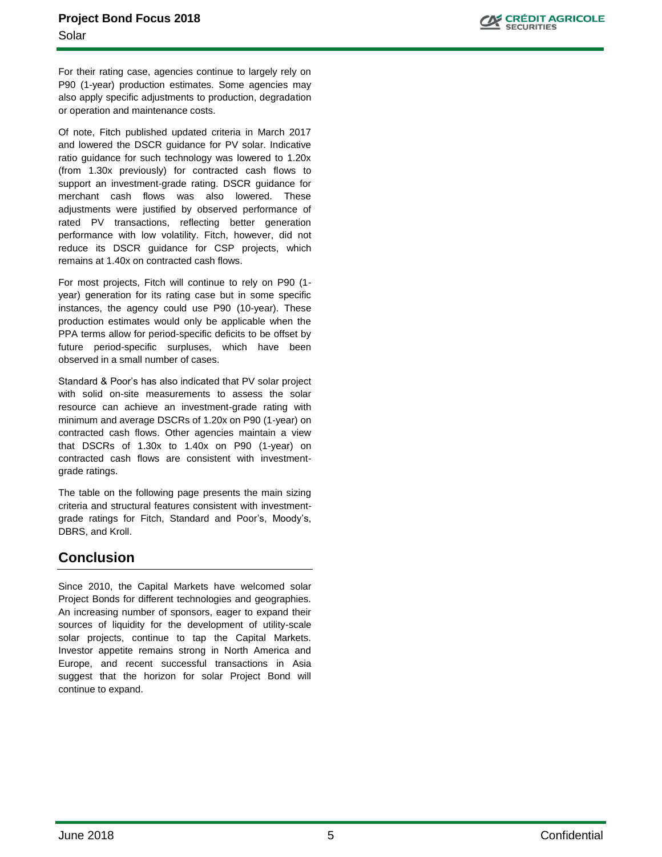For their rating case, agencies continue to largely rely on P90 (1-year) production estimates. Some agencies may also apply specific adjustments to production, degradation or operation and maintenance costs.

Of note, Fitch published updated criteria in March 2017 and lowered the DSCR guidance for PV solar. Indicative ratio guidance for such technology was lowered to 1.20x (from 1.30x previously) for contracted cash flows to support an investment-grade rating. DSCR guidance for merchant cash flows was also lowered. These adjustments were justified by observed performance of rated PV transactions, reflecting better generation performance with low volatility. Fitch, however, did not reduce its DSCR guidance for CSP projects, which remains at 1.40x on contracted cash flows.

For most projects, Fitch will continue to rely on P90 (1 year) generation for its rating case but in some specific instances, the agency could use P90 (10-year). These production estimates would only be applicable when the PPA terms allow for period-specific deficits to be offset by future period-specific surpluses, which have been observed in a small number of cases.

Standard & Poor's has also indicated that PV solar project with solid on-site measurements to assess the solar resource can achieve an investment-grade rating with minimum and average DSCRs of 1.20x on P90 (1-year) on contracted cash flows. Other agencies maintain a view that DSCRs of 1.30x to 1.40x on P90 (1-year) on contracted cash flows are consistent with investmentgrade ratings.

The table on the following page presents the main sizing criteria and structural features consistent with investmentgrade ratings for Fitch, Standard and Poor's, Moody's, DBRS, and Kroll.

# **Conclusion**

Since 2010, the Capital Markets have welcomed solar Project Bonds for different technologies and geographies. An increasing number of sponsors, eager to expand their sources of liquidity for the development of utility-scale solar projects, continue to tap the Capital Markets. Investor appetite remains strong in North America and Europe, and recent successful transactions in Asia suggest that the horizon for solar Project Bond will continue to expand.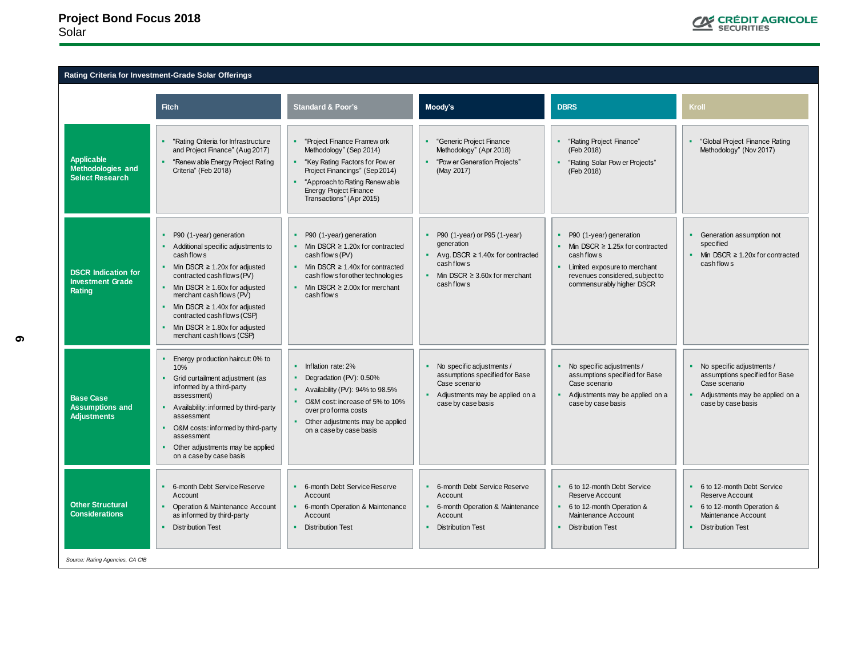### **Project Bond Focus 2018** Solar



### **Rating Criteria for Investment-Grade Solar Offerings**

| <b>Fitch</b><br>Moody's<br><b>DBRS</b><br><b>Standard &amp; Poor's</b><br>Kroll<br>"Rating Criteria for Infrastructure<br>"Project Finance Framew ork<br>"Generic Project Finance<br>"Rating Project Finance"<br>and Project Finance" (Aug 2017)<br>Methodology" (Sep 2014)<br>Methodology" (Apr 2018)<br>Methodology" (Nov 2017)<br>(Feb 2018)<br><b>Applicable</b><br>"Renew able Energy Project Rating<br>"Pow er Generation Projects"<br>"Key Rating Factors for Pow er<br>"Rating Solar Pow er Projects"<br><b>Methodologies and</b><br>Criteria" (Feb 2018)<br>Project Financings" (Sep 2014)<br>(May 2017)<br>(Feb 2018)<br><b>Select Research</b><br>"Approach to Rating Renew able<br><b>Energy Project Finance</b><br>Transactions" (Apr 2015)<br>P90 (1-year) or P95 (1-year)<br>• P90 (1-year) generation<br>P90 (1-year) generation<br>P90 (1-year) generation<br>• Generation assumption not<br>generation<br>specified<br>Additional specific adjustments to<br>Min DSCR $\geq$ 1.20x for contracted<br>Min DSCR $\geq$ 1.25x for contracted<br>cash flow s<br>cash flow s(PV)<br>Avg. DSCR $\geq$ 1.40x for contracted<br>cash flow s<br>cash flow s<br>cash flow s<br>Min DSCR $\geq$ 1.20x for adjusted<br>Min DSCR $\geq$ 1.40x for contracted<br>Limited exposure to merchant<br><b>DSCR Indication for</b><br>contracted cash flows (PV)<br>• Min DSCR $\geq$ 3.60x for merchant<br>revenues considered, subject to<br>cash flow s for other technologies<br><b>Investment Grade</b><br>commensurably higher DSCR<br>cash flow s<br>Min DSCR $\geq$ 1.60x for adjusted<br>Min DSCR $\geq$ 2.00x for merchant<br>Rating<br>merchant cash flows (PV)<br>cash flow s<br>Min DSCR $\geq$ 1.40x for adjusted<br>contracted cash flows (CSP)<br>Min DSCR $\geq$ 1.80x for adjusted<br>merchant cash flows (CSP)<br>Energy production haircut: 0% to<br>No specific adjustments /<br>No specific adjustments /<br>• No specific adjustments /<br>Inflation rate: 2%<br>10%<br>assumptions specified for Base<br>assumptions specified for Base<br>Degradation (PV): 0.50%<br>Grid curtailment adjustment (as<br>Case scenario<br>Case scenario<br>Case scenario<br>informed by a third-party<br>Availability (PV): 94% to 98.5%<br>• Adjustments may be applied on a<br>Adjustments may be applied on a<br>assessment)<br><b>Base Case</b><br>O&M cost: increase of 5% to 10%<br>case by case basis<br>case by case basis<br>case by case basis<br><b>Assumptions and</b><br>• Availability: informed by third-party<br>over proforma costs | Rating Criteria for investment-Grade Solar Offerings |  |                                                                     |
|-----------------------------------------------------------------------------------------------------------------------------------------------------------------------------------------------------------------------------------------------------------------------------------------------------------------------------------------------------------------------------------------------------------------------------------------------------------------------------------------------------------------------------------------------------------------------------------------------------------------------------------------------------------------------------------------------------------------------------------------------------------------------------------------------------------------------------------------------------------------------------------------------------------------------------------------------------------------------------------------------------------------------------------------------------------------------------------------------------------------------------------------------------------------------------------------------------------------------------------------------------------------------------------------------------------------------------------------------------------------------------------------------------------------------------------------------------------------------------------------------------------------------------------------------------------------------------------------------------------------------------------------------------------------------------------------------------------------------------------------------------------------------------------------------------------------------------------------------------------------------------------------------------------------------------------------------------------------------------------------------------------------------------------------------------------------------------------------------------------------------------------------------------------------------------------------------------------------------------------------------------------------------------------------------------------------------------------------------------------------------------------------------------------------------------------------------------------------------------------------------------------------------------------------------------------|------------------------------------------------------|--|---------------------------------------------------------------------|
|                                                                                                                                                                                                                                                                                                                                                                                                                                                                                                                                                                                                                                                                                                                                                                                                                                                                                                                                                                                                                                                                                                                                                                                                                                                                                                                                                                                                                                                                                                                                                                                                                                                                                                                                                                                                                                                                                                                                                                                                                                                                                                                                                                                                                                                                                                                                                                                                                                                                                                                                                           |                                                      |  |                                                                     |
|                                                                                                                                                                                                                                                                                                                                                                                                                                                                                                                                                                                                                                                                                                                                                                                                                                                                                                                                                                                                                                                                                                                                                                                                                                                                                                                                                                                                                                                                                                                                                                                                                                                                                                                                                                                                                                                                                                                                                                                                                                                                                                                                                                                                                                                                                                                                                                                                                                                                                                                                                           |                                                      |  | "Global Project Finance Rating                                      |
|                                                                                                                                                                                                                                                                                                                                                                                                                                                                                                                                                                                                                                                                                                                                                                                                                                                                                                                                                                                                                                                                                                                                                                                                                                                                                                                                                                                                                                                                                                                                                                                                                                                                                                                                                                                                                                                                                                                                                                                                                                                                                                                                                                                                                                                                                                                                                                                                                                                                                                                                                           |                                                      |  | • Min DSCR $\geq$ 1.20x for contracted                              |
| <b>Adjustments</b><br>assessment<br>Other adjustments may be applied<br>O&M costs: informed by third-party<br>on a case by case basis<br>assessment<br>Other adjustments may be applied<br>on a case by case basis                                                                                                                                                                                                                                                                                                                                                                                                                                                                                                                                                                                                                                                                                                                                                                                                                                                                                                                                                                                                                                                                                                                                                                                                                                                                                                                                                                                                                                                                                                                                                                                                                                                                                                                                                                                                                                                                                                                                                                                                                                                                                                                                                                                                                                                                                                                                        |                                                      |  | assumptions specified for Base<br>• Adjustments may be applied on a |
| 6-month Debt Service Reserve<br>6-month Debt Service Reserve<br>6-month Debt Service Reserve<br>6 to 12-month Debt Service<br>• 6 to 12-month Debt Service<br>٠<br>Reserve Account<br>Account<br>Account<br>Account<br>Reserve Account<br><b>Other Structural</b><br>Operation & Maintenance Account<br>• 6-month Operation & Maintenance<br>6 to 12-month Operation &<br>• 6 to 12-month Operation &<br>6-month Operation & Maintenance<br><b>Considerations</b><br>as informed by third-party<br>Maintenance Account<br>Maintenance Account<br>Account<br>Account<br>• Distribution Test<br><b>Distribution Test</b><br><b>Distribution Test</b><br><b>Distribution Test</b><br><b>Distribution Test</b><br>٠.<br>Source: Rating Agencies, CA CIB                                                                                                                                                                                                                                                                                                                                                                                                                                                                                                                                                                                                                                                                                                                                                                                                                                                                                                                                                                                                                                                                                                                                                                                                                                                                                                                                                                                                                                                                                                                                                                                                                                                                                                                                                                                                       |                                                      |  |                                                                     |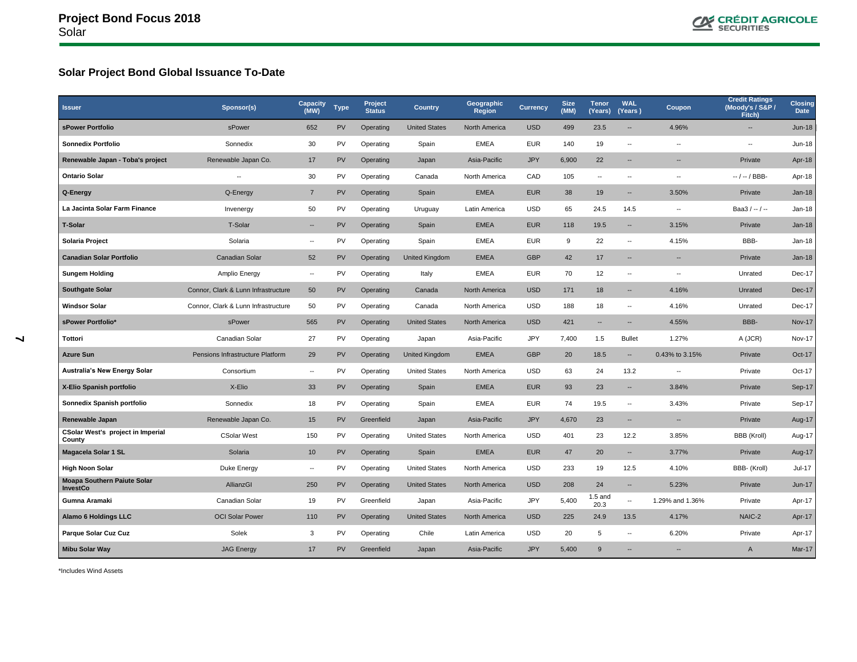

# **Solar Project Bond Global Issuance To-Date**

| <b>Issuer</b>                                  | Sponsor(s)                          | Capacity<br>(MW)         | <b>Type</b> | Project<br><b>Status</b> | Country              | Geographic<br><b>Region</b> | <b>Currency</b> | <b>Size</b><br>(MM) | <b>Tenor</b><br>(Years)  | <b>WAL</b><br>(Years)    | Coupon                   | <b>Credit Ratings</b><br>(Moody's / S&P /<br><b>Fitch)</b> | <b>Closing</b><br>Date |
|------------------------------------------------|-------------------------------------|--------------------------|-------------|--------------------------|----------------------|-----------------------------|-----------------|---------------------|--------------------------|--------------------------|--------------------------|------------------------------------------------------------|------------------------|
| sPower Portfolio                               | sPower                              | 652                      | PV          | Operating                | <b>United States</b> | North America               | <b>USD</b>      | 499                 | 23.5                     |                          | 4.96%                    | $\overline{\phantom{a}}$                                   | <b>Jun-18</b>          |
| <b>Sonnedix Portfolio</b>                      | Sonnedix                            | 30                       | <b>PV</b>   | Operating                | Spain                | <b>EMEA</b>                 | <b>EUR</b>      | 140                 | 19                       | $\overline{\phantom{a}}$ | $\overline{a}$           | $\overline{\phantom{a}}$                                   | <b>Jun-18</b>          |
| Renewable Japan - Toba's project               | Renewable Japan Co.                 | 17                       | <b>PV</b>   | Operating                | Japan                | Asia-Pacific                | <b>JPY</b>      | 6,900               | 22                       | $\overline{\phantom{a}}$ | $\overline{\phantom{a}}$ | Private                                                    | Apr-18                 |
| <b>Ontario Solar</b>                           | --                                  | 30                       | PV          | Operating                | Canada               | North America               | CAD             | 105                 | $\overline{\phantom{a}}$ | $\overline{\phantom{a}}$ | $\overline{\phantom{a}}$ | $-/-/BBB$                                                  | Apr-18                 |
| Q-Energy                                       | Q-Energy                            | $\overline{7}$           | PV          | Operating                | Spain                | <b>EMEA</b>                 | <b>EUR</b>      | 38                  | 19                       | --                       | 3.50%                    | Private                                                    | <b>Jan-18</b>          |
| La Jacinta Solar Farm Finance                  | Invenergy                           | 50                       | PV          | Operating                | Uruguay              | Latin America               | <b>USD</b>      | 65                  | 24.5                     | 14.5                     | $\overline{\phantom{a}}$ | Baa3 / $-$ / $-$                                           | $Jan-18$               |
| T-Solar                                        | T-Solar                             | $\overline{\phantom{a}}$ | PV          | Operating                | Spain                | <b>EMEA</b>                 | <b>EUR</b>      | 118                 | 19.5                     |                          | 3.15%                    | Private                                                    | <b>Jan-18</b>          |
| Solaria Project                                | Solaria                             | $\overline{\phantom{a}}$ | PV          | Operating                | Spain                | <b>EMEA</b>                 | <b>EUR</b>      | 9                   | 22                       | $\overline{\phantom{a}}$ | 4.15%                    | BBB-                                                       | Jan-18                 |
| <b>Canadian Solar Portfolio</b>                | <b>Canadian Solar</b>               | 52                       | <b>PV</b>   | Operating                | United Kingdom       | <b>EMEA</b>                 | <b>GBP</b>      | 42                  | 17                       | $\overline{\phantom{a}}$ | $\overline{\phantom{a}}$ | Private                                                    | <b>Jan-18</b>          |
| <b>Sungem Holding</b>                          | Amplio Energy                       | $\overline{\phantom{a}}$ | PV          | Operating                | Italy                | <b>EMEA</b>                 | <b>EUR</b>      | 70                  | 12                       | $\overline{\phantom{a}}$ | $\overline{\phantom{a}}$ | Unrated                                                    | Dec-17                 |
| <b>Southgate Solar</b>                         | Connor, Clark & Lunn Infrastructure | 50                       | <b>PV</b>   | Operating                | Canada               | North America               | <b>USD</b>      | 171                 | 18                       | $\overline{\phantom{a}}$ | 4.16%                    | Unrated                                                    | Dec-17                 |
| <b>Windsor Solar</b>                           | Connor, Clark & Lunn Infrastructure | 50                       | PV          | Operating                | Canada               | North America               | <b>USD</b>      | 188                 | 18                       | $\overline{\phantom{a}}$ | 4.16%                    | Unrated                                                    | Dec-17                 |
| sPower Portfolio*                              | sPower                              | 565                      | <b>PV</b>   | Operating                | <b>United States</b> | North America               | <b>USD</b>      | 421                 | $\overline{\phantom{a}}$ | $\overline{\phantom{a}}$ | 4.55%                    | BBB-                                                       | <b>Nov-17</b>          |
| Tottori                                        | Canadian Solar                      | 27                       | PV          | Operating                | Japan                | Asia-Pacific                | JPY             | 7,400               | 1.5                      | <b>Bullet</b>            | 1.27%                    | A (JCR)                                                    | <b>Nov-17</b>          |
| Azure Sun                                      | Pensions Infrastructure Platform    | 29                       | <b>PV</b>   | Operating                | United Kingdom       | <b>EMEA</b>                 | <b>GBP</b>      | 20                  | 18.5                     | $\overline{\phantom{a}}$ | 0.43% to 3.15%           | Private                                                    | Oct-17                 |
| <b>Australia's New Energy Solar</b>            | Consortium                          | $\overline{\phantom{a}}$ | PV          | Operating                | <b>United States</b> | North America               | <b>USD</b>      | 63                  | 24                       | 13.2                     | $\overline{\phantom{a}}$ | Private                                                    | Oct-17                 |
| X-Elio Spanish portfolio                       | X-Elio                              | 33                       | <b>PV</b>   | Operating                | Spain                | <b>EMEA</b>                 | <b>EUR</b>      | 93                  | 23                       | $\overline{\phantom{a}}$ | 3.84%                    | Private                                                    | Sep-17                 |
| Sonnedix Spanish portfolio                     | Sonnedix                            | 18                       | PV          | Operating                | Spain                | <b>EMEA</b>                 | <b>EUR</b>      | 74                  | 19.5                     | $\overline{\phantom{a}}$ | 3.43%                    | Private                                                    | Sep-17                 |
| Renewable Japan                                | Renewable Japan Co.                 | 15                       | <b>PV</b>   | Greenfield               | Japan                | Asia-Pacific                | <b>JPY</b>      | 4,670               | 23                       | --                       | --                       | Private                                                    | Aug-17                 |
| CSolar West's project in Imperial<br>County    | <b>CSolar West</b>                  | 150                      | <b>PV</b>   | Operating                | <b>United States</b> | North America               | <b>USD</b>      | 401                 | 23                       | 12.2                     | 3.85%                    | BBB (Kroll)                                                | Aug-17                 |
| Magacela Solar 1 SL                            | Solaria                             | 10                       | PV          | Operating                | Spain                | <b>EMEA</b>                 | <b>EUR</b>      | 47                  | 20                       | --                       | 3.77%                    | Private                                                    | Aug-17                 |
| <b>High Noon Solar</b>                         | Duke Energy                         | $\overline{\phantom{a}}$ | PV          | Operating                | <b>United States</b> | North America               | <b>USD</b>      | 233                 | 19                       | 12.5                     | 4.10%                    | BBB- (Kroll)                                               | <b>Jul-17</b>          |
| Moapa Southern Paiute Solar<br><b>InvestCo</b> | AllianzGI                           | 250                      | PV          | Operating                | <b>United States</b> | North America               | <b>USD</b>      | 208                 | 24                       | $\overline{\phantom{a}}$ | 5.23%                    | Private                                                    | <b>Jun-17</b>          |
| Gumna Aramaki                                  | Canadian Solar                      | 19                       | PV          | Greenfield               | Japan                | Asia-Pacific                | <b>JPY</b>      | 5,400               | $1.5$ and<br>20.3        | $\sim$                   | 1.29% and 1.36%          | Private                                                    | Apr-17                 |
| <b>Alamo 6 Holdings LLC</b>                    | <b>OCI Solar Power</b>              | 110                      | PV          | Operating                | <b>United States</b> | North America               | <b>USD</b>      | 225                 | 24.9                     | 13.5                     | 4.17%                    | NAIC-2                                                     | Apr-17                 |
| Parque Solar Cuz Cuz                           | Solek                               | 3                        | PV          | Operating                | Chile                | Latin America               | <b>USD</b>      | 20                  | 5                        | $\overline{\phantom{a}}$ | 6.20%                    | Private                                                    | Apr-17                 |
| <b>Mibu Solar Way</b>                          | <b>JAG Energy</b>                   | 17                       | <b>PV</b>   | Greenfield               | Japan                | Asia-Pacific                | <b>JPY</b>      | 5,400               | 9                        | $\overline{\phantom{a}}$ | $\overline{\phantom{a}}$ | A                                                          | Mar-17                 |

\*Includes Wind Assets

 $\blacktriangleright$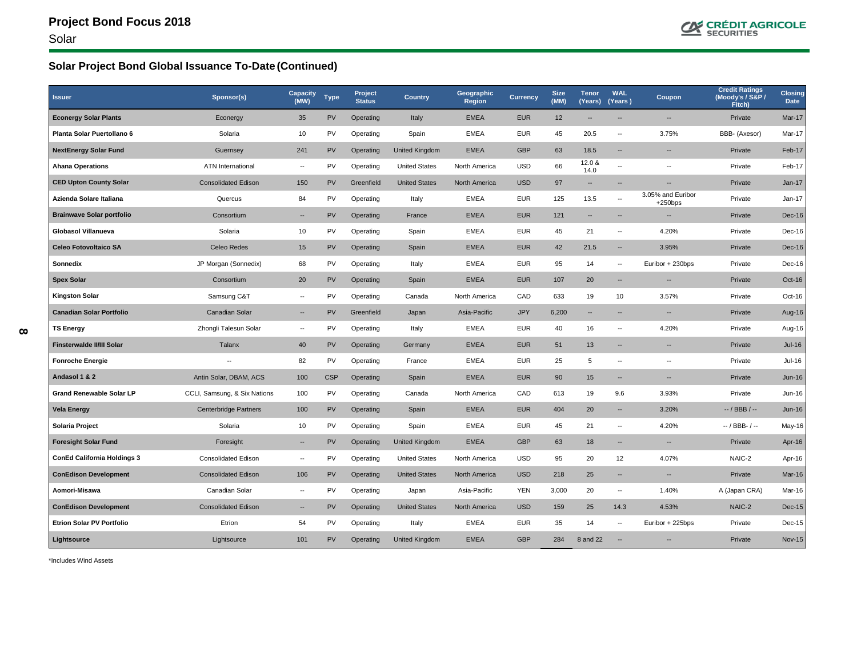

# **Solar Project Bond Global Issuance To-Date (Continued)**

| <b>Issuer</b>                      | Sponsor(s)                   | <b>Capacity</b><br>(MW)  | <b>Type</b> | Project<br><b>Status</b> | <b>Country</b>        | Geographic<br><b>Region</b> | <b>Currency</b> | <b>Size</b><br>(MM) | <b>Tenor</b><br>(Years)  | <b>WAL</b><br>(Years)    | Coupon                         | <b>Credit Ratings</b><br>(Moody's / S&P /<br>Fitch) | <b>Closing</b><br><b>Date</b> |
|------------------------------------|------------------------------|--------------------------|-------------|--------------------------|-----------------------|-----------------------------|-----------------|---------------------|--------------------------|--------------------------|--------------------------------|-----------------------------------------------------|-------------------------------|
| <b>Econergy Solar Plants</b>       | Econergy                     | 35                       | PV          | Operating                | Italy                 | <b>EMEA</b>                 | <b>EUR</b>      | 12                  | --                       | $\overline{\phantom{a}}$ | $\overline{\phantom{a}}$       | Private                                             | Mar-17                        |
| Planta Solar Puertollano 6         | Solaria                      | 10                       | PV          | Operating                | Spain                 | <b>EMEA</b>                 | <b>EUR</b>      | 45                  | 20.5                     | $\overline{\phantom{a}}$ | 3.75%                          | BBB- (Axesor)                                       | Mar-17                        |
| <b>NextEnergy Solar Fund</b>       | Guernsey                     | 241                      | <b>PV</b>   | Operating                | <b>United Kingdom</b> | <b>EMEA</b>                 | <b>GBP</b>      | 63                  | 18.5                     | $\overline{\phantom{a}}$ | $\overline{\phantom{a}}$       | Private                                             | Feb-17                        |
| <b>Ahana Operations</b>            | ATN International            | $\overline{\phantom{a}}$ | PV          | Operating                | <b>United States</b>  | North America               | <b>USD</b>      | 66                  | 12.0 &<br>14.0           | $\overline{\phantom{a}}$ | $\overline{\phantom{a}}$       | Private                                             | Feb-17                        |
| <b>CED Upton County Solar</b>      | <b>Consolidated Edison</b>   | 150                      | PV          | Greenfield               | <b>United States</b>  | North America               | <b>USD</b>      | 97                  | $\overline{\phantom{a}}$ | $\overline{\phantom{a}}$ | --                             | Private                                             | <b>Jan-17</b>                 |
| Azienda Solare Italiana            | Quercus                      | 84                       | PV          | Operating                | Italy                 | <b>EMEA</b>                 | <b>EUR</b>      | 125                 | 13.5                     | $\overline{\phantom{a}}$ | 3.05% and Euribor<br>$+250bps$ | Private                                             | Jan-17                        |
| <b>Brainwave Solar portfolio</b>   | Consortium                   | $\overline{\phantom{a}}$ | <b>PV</b>   | Operating                | France                | <b>EMEA</b>                 | <b>EUR</b>      | 121                 | --                       |                          |                                | Private                                             | Dec-16                        |
| <b>Globasol Villanueva</b>         | Solaria                      | $10$                     | PV          | Operating                | Spain                 | <b>EMEA</b>                 | <b>EUR</b>      | 45                  | 21                       | $\overline{\phantom{a}}$ | 4.20%                          | Private                                             | Dec-16                        |
| <b>Celeo Fotovoltaico SA</b>       | Celeo Redes                  | 15                       | PV          | Operating                | Spain                 | <b>EMEA</b>                 | <b>EUR</b>      | 42                  | 21.5                     | $\sim$                   | 3.95%                          | Private                                             | Dec-16                        |
| Sonnedix                           | JP Morgan (Sonnedix)         | 68                       | <b>PV</b>   | Operating                | Italy                 | <b>EMEA</b>                 | <b>EUR</b>      | 95                  | 14                       | $\overline{\phantom{a}}$ | Euribor + 230bps               | Private                                             | Dec-16                        |
| <b>Spex Solar</b>                  | Consortium                   | 20                       | <b>PV</b>   | Operating                | Spain                 | <b>EMEA</b>                 | <b>EUR</b>      | 107                 | 20                       | $\overline{\phantom{a}}$ | $\overline{\phantom{a}}$       | Private                                             | Oct-16                        |
| <b>Kingston Solar</b>              | Samsung C&T                  | $\overline{\phantom{a}}$ | PV          | Operating                | Canada                | North America               | CAD             | 633                 | 19                       | 10                       | 3.57%                          | Private                                             | Oct-16                        |
| <b>Canadian Solar Portfolio</b>    | <b>Canadian Solar</b>        | $\overline{\phantom{a}}$ | <b>PV</b>   | Greenfield               | Japan                 | Asia-Pacific                | <b>JPY</b>      | 6,200               | $\overline{\phantom{a}}$ | $\overline{\phantom{a}}$ | $\overline{\phantom{a}}$       | Private                                             | Aug-16                        |
| <b>TS Energy</b>                   | Zhongli Talesun Solar        | $\overline{\phantom{a}}$ | PV          | Operating                | Italy                 | <b>EMEA</b>                 | <b>EUR</b>      | 40                  | 16                       | $\overline{\phantom{a}}$ | 4.20%                          | Private                                             | Aug-16                        |
| Finsterwalde II/III Solar          | <b>Talanx</b>                | 40                       | PV          | Operating                | Germany               | <b>EMEA</b>                 | <b>EUR</b>      | 51                  | 13                       | $\overline{\phantom{a}}$ | $\overline{\phantom{a}}$       | Private                                             | $Jul-16$                      |
| <b>Fonroche Energie</b>            | --                           | 82                       | PV          | Operating                | France                | <b>EMEA</b>                 | <b>EUR</b>      | 25                  | 5                        | $\overline{\phantom{a}}$ | $\overline{\phantom{a}}$       | Private                                             | $Jul-16$                      |
| Andasol 1 & 2                      | Antin Solar, DBAM, ACS       | 100                      | <b>CSP</b>  | Operating                | Spain                 | <b>EMEA</b>                 | <b>EUR</b>      | 90                  | 15                       | $\overline{\phantom{a}}$ | $\overline{\phantom{a}}$       | Private                                             | <b>Jun-16</b>                 |
| <b>Grand Renewable Solar LP</b>    | CCLI, Samsung, & Six Nations | 100                      | PV          | Operating                | Canada                | North America               | CAD             | 613                 | 19                       | 9.6                      | 3.93%                          | Private                                             | Jun-16                        |
| <b>Vela Energy</b>                 | <b>Centerbridge Partners</b> | 100                      | <b>PV</b>   | Operating                | Spain                 | <b>EMEA</b>                 | <b>EUR</b>      | 404                 | 20                       | $\sim$                   | 3.20%                          | $-$ / BBB / $-$                                     | <b>Jun-16</b>                 |
| Solaria Project                    | Solaria                      | 10                       | PV          | Operating                | Spain                 | <b>EMEA</b>                 | <b>EUR</b>      | 45                  | 21                       | $\overline{\phantom{a}}$ | 4.20%                          | $-$ / BBB- / $-$                                    | May-16                        |
| <b>Foresight Solar Fund</b>        | Foresight                    | $\overline{\phantom{a}}$ | <b>PV</b>   | Operating                | United Kingdom        | <b>EMEA</b>                 | <b>GBP</b>      | 63                  | 18                       | $\overline{a}$           | $\overline{\phantom{a}}$       | Private                                             | Apr-16                        |
| <b>ConEd California Holdings 3</b> | <b>Consolidated Edison</b>   | $\overline{\phantom{a}}$ | PV          | Operating                | <b>United States</b>  | North America               | <b>USD</b>      | 95                  | 20                       | 12                       | 4.07%                          | NAIC-2                                              | Apr-16                        |
| <b>ConEdison Development</b>       | <b>Consolidated Edison</b>   | 106                      | PV          | Operating                | <b>United States</b>  | North America               | <b>USD</b>      | 218                 | 25                       | $\overline{\phantom{a}}$ | $\overline{\phantom{a}}$       | Private                                             | Mar-16                        |
| Aomori-Misawa                      | Canadian Solar               | $\overline{\phantom{a}}$ | <b>PV</b>   | Operating                | Japan                 | Asia-Pacific                | <b>YEN</b>      | 3,000               | 20                       | $\overline{\phantom{a}}$ | 1.40%                          | A (Japan CRA)                                       | Mar-16                        |
| <b>ConEdison Development</b>       | <b>Consolidated Edison</b>   | $\overline{\phantom{a}}$ | <b>PV</b>   | Operating                | <b>United States</b>  | North America               | <b>USD</b>      | 159                 | 25                       | 14.3                     | 4.53%                          | NAIC-2                                              | Dec-15                        |
| <b>Etrion Solar PV Portfolio</b>   | Etrion                       | 54                       | PV          | Operating                | Italy                 | <b>EMEA</b>                 | <b>EUR</b>      | 35                  | 14                       | $\overline{\phantom{a}}$ | Euribor + 225bps               | Private                                             | Dec-15                        |
| Lightsource                        | Lightsource                  | 101                      | <b>PV</b>   | Operating                | United Kingdom        | <b>EMEA</b>                 | <b>GBP</b>      | 284                 | 8 and 22                 | $\overline{\phantom{a}}$ |                                | Private                                             | <b>Nov-15</b>                 |

\*Includes Wind Assets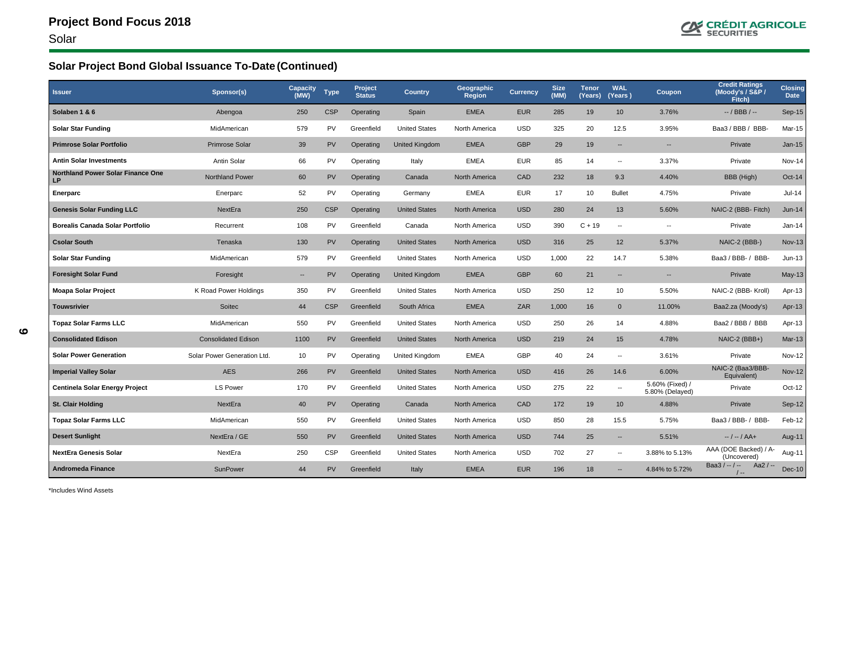

# **Solar Project Bond Global Issuance To-Date (Continued)**

| <b>Issuer</b>                                  | Sponsor(s)                  | <b>Capacity</b><br>(MW)  | <b>Type</b> | <b>Project</b><br><b>Status</b> | <b>Country</b>        | Geographic<br><b>Region</b> | <b>Currency</b> | <b>Size</b><br>(MM) | <b>Tenor</b><br>(Years) | <b>WAL</b><br>(Years)    | Coupon                             | <b>Credit Ratings</b><br>(Moody's / S&P /<br>Fitch) | <b>Closing</b><br>Date |
|------------------------------------------------|-----------------------------|--------------------------|-------------|---------------------------------|-----------------------|-----------------------------|-----------------|---------------------|-------------------------|--------------------------|------------------------------------|-----------------------------------------------------|------------------------|
| Solaben 1 & 6                                  | Abengoa                     | 250                      | <b>CSP</b>  | Operating                       | Spain                 | <b>EMEA</b>                 | <b>EUR</b>      | 285                 | 19                      | 10                       | 3.76%                              | $-$ / BBB / $-$                                     | Sep-15                 |
| <b>Solar Star Funding</b>                      | MidAmerican                 | 579                      | PV          | Greenfield                      | <b>United States</b>  | North America               | <b>USD</b>      | 325                 | 20                      | 12.5                     | 3.95%                              | Baa3 / BBB / BBB-                                   | Mar-15                 |
| <b>Primrose Solar Portfolio</b>                | Primrose Solar              | 39                       | PV          | Operating                       | <b>United Kingdom</b> | <b>EMEA</b>                 | <b>GBP</b>      | 29                  | 19                      | н.                       | $\overline{\phantom{a}}$           | Private                                             | $Jan-15$               |
| <b>Antin Solar Investments</b>                 | Antin Solar                 | 66                       | PV          | Operating                       | Italy                 | <b>EMEA</b>                 | <b>EUR</b>      | 85                  | 14                      | $\overline{\phantom{a}}$ | 3.37%                              | Private                                             | <b>Nov-14</b>          |
| <b>Northland Power Solar Finance One</b><br>LP | <b>Northland Power</b>      | 60                       | PV          | Operating                       | Canada                | North America               | CAD             | 232                 | 18                      | 9.3                      | 4.40%                              | BBB (High)                                          | Oct-14                 |
| <b>Enerparc</b>                                | Enerparc                    | 52                       | PV          | Operating                       | Germany               | <b>EMEA</b>                 | <b>EUR</b>      | 17                  | 10                      | <b>Bullet</b>            | 4.75%                              | Private                                             | $Jul-14$               |
| <b>Genesis Solar Funding LLC</b>               | NextEra                     | 250                      | <b>CSP</b>  | Operating                       | <b>United States</b>  | North America               | <b>USD</b>      | 280                 | 24                      | 13                       | 5.60%                              | NAIC-2 (BBB- Fitch)                                 | $Jun-14$               |
| <b>Borealis Canada Solar Portfolio</b>         | Recurrent                   | 108                      | PV          | Greenfield                      | Canada                | North America               | <b>USD</b>      | 390                 | $C + 19$                | $\overline{\phantom{a}}$ | --                                 | Private                                             | $Jan-14$               |
| <b>Csolar South</b>                            | Tenaska                     | 130                      | PV          | Operating                       | <b>United States</b>  | North America               | <b>USD</b>      | 316                 | 25                      | 12                       | 5.37%                              | NAIC-2 (BBB-)                                       | <b>Nov-13</b>          |
| <b>Solar Star Funding</b>                      | MidAmerican                 | 579                      | PV          | Greenfield                      | <b>United States</b>  | North America               | <b>USD</b>      | 1,000               | 22                      | 14.7                     | 5.38%                              | Baa3 / BBB- / BBB-                                  | $Jun-13$               |
| <b>Foresight Solar Fund</b>                    | Foresight                   | $\overline{\phantom{a}}$ | PV          | Operating                       | <b>United Kingdom</b> | <b>EMEA</b>                 | <b>GBP</b>      | 60                  | 21                      | н.                       | $\overline{\phantom{a}}$           | Private                                             | $May-13$               |
| <b>Moapa Solar Project</b>                     | K Road Power Holdings       | 350                      | PV          | Greenfield                      | <b>United States</b>  | North America               | <b>USD</b>      | 250                 | 12                      | 10                       | 5.50%                              | NAIC-2 (BBB- Kroll)                                 | Apr-13                 |
| <b>Touwsrivier</b>                             | Soitec                      | 44                       | <b>CSP</b>  | Greenfield                      | South Africa          | <b>EMEA</b>                 | ZAR             | 1,000               | 16                      | $\mathbf{0}$             | 11.00%                             | Baa2.za (Moody's)                                   | Apr-13                 |
| <b>Topaz Solar Farms LLC</b>                   | MidAmerican                 | 550                      | PV          | Greenfield                      | <b>United States</b>  | North America               | <b>USD</b>      | 250                 | 26                      | 14                       | 4.88%                              | Baa2 / BBB / BBB                                    | Apr-13                 |
| <b>Consolidated Edison</b>                     | <b>Consolidated Edison</b>  | 1100                     | PV          | Greenfield                      | <b>United States</b>  | North America               | <b>USD</b>      | 219                 | 24                      | 15                       | 4.78%                              | NAIC-2 (BBB+)                                       | $Mar-13$               |
| <b>Solar Power Generation</b>                  | Solar Power Generation Ltd. | 10                       | PV          | Operating                       | United Kingdom        | <b>EMEA</b>                 | GBP             | 40                  | 24                      | $\overline{\phantom{a}}$ | 3.61%                              | Private                                             | <b>Nov-12</b>          |
| <b>Imperial Valley Solar</b>                   | <b>AES</b>                  | 266                      | PV          | Greenfield                      | <b>United States</b>  | North America               | <b>USD</b>      | 416                 | 26                      | 14.6                     | 6.00%                              | NAIC-2 (Baa3/BBB-<br>Equivalent)                    | <b>Nov-12</b>          |
| Centinela Solar Energy Project                 | <b>LS Power</b>             | 170                      | PV          | Greenfield                      | <b>United States</b>  | North America               | <b>USD</b>      | 275                 | 22                      | --                       | 5.60% (Fixed) /<br>5.80% (Delayed) | Private                                             | Oct-12                 |
| St. Clair Holding                              | NextEra                     | 40                       | PV          | Operating                       | Canada                | North America               | CAD             | 172                 | 19                      | 10                       | 4.88%                              | Private                                             | Sep-12                 |
| <b>Topaz Solar Farms LLC</b>                   | MidAmerican                 | 550                      | PV          | Greenfield                      | <b>United States</b>  | North America               | <b>USD</b>      | 850                 | 28                      | 15.5                     | 5.75%                              | Baa3 / BBB- / BBB-                                  | Feb-12                 |
| <b>Desert Sunlight</b>                         | NextEra / GE                | 550                      | PV          | Greenfield                      | <b>United States</b>  | North America               | <b>USD</b>      | 744                 | 25                      | $\overline{\phantom{a}}$ | 5.51%                              | -- / -- / AA+                                       | Aug-11                 |
| <b>NextEra Genesis Solar</b>                   | NextEra                     | 250                      | <b>CSP</b>  | Greenfield                      | <b>United States</b>  | North America               | <b>USD</b>      | 702                 | 27                      | $\overline{\phantom{a}}$ | 3.88% to 5.13%                     | AAA (DOE Backed) / A-<br>(Uncovered)                | Aug-11                 |
| <b>Andromeda Finance</b>                       | SunPower                    | 44                       | PV          | Greenfield                      | Italy                 | <b>EMEA</b>                 | <b>EUR</b>      | 196                 | 18                      | $\overline{\phantom{a}}$ | 4.84% to 5.72%                     | Baa3 $/ - / -$<br>Aa2 $/ -$<br>$/ -$                | $Dec-10$               |

\*Includes Wind Assets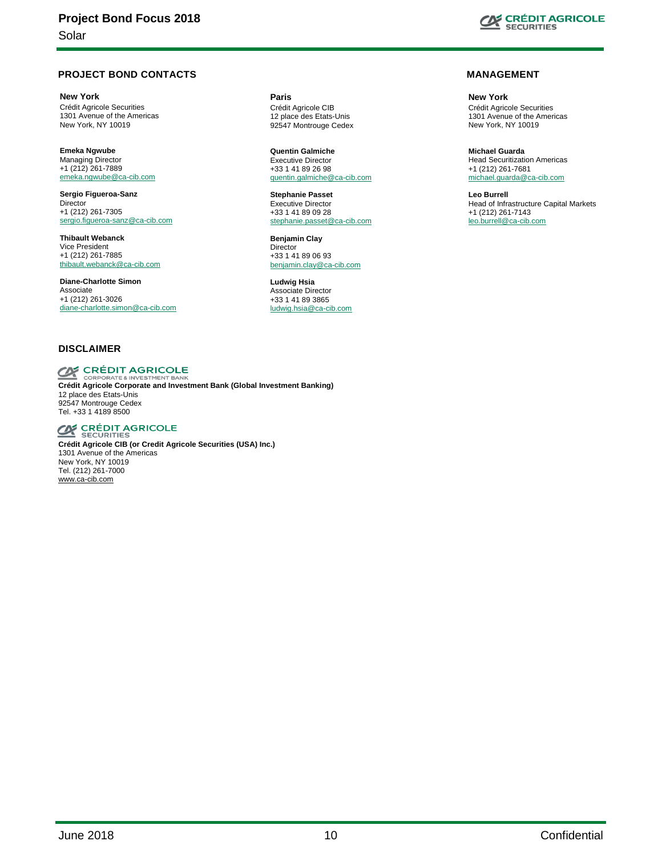#### **PROJECT BOND CONTACTS**

**New York** Crédit Agricole Securities 1301 Avenue of the Americas New York, NY 10019

**Emeka Ngwube** Managing Director +1 (212) 261-7889 [emeka.ngwube@ca-cib.com](mailto:emeka.ngwube@ca-cib.com)

**Sergio Figueroa-Sanz Director** +1 (212) 261-7305 [sergio.figueroa-sanz@ca-cib.com](mailto:sergio.figueroa-sanz@ca-cib.com)

**Thibault Webanck** Vice President +1 (212) 261-7885 [thibault.webanck@ca-cib.com](mailto:thibault.webanck@ca-cib.com)

**Diane-Charlotte Simon**  Associate +1 (212) 261-3026 [diane-charlotte.simon@ca-cib.com](mailto:diane-charlotte.simon@ca-cib.com)

#### **DISCLAIMER**

# **CRÉDIT AGRICOLE**

**Crédit Agricole Corporate and Investment Bank (Global Investment Banking)** 12 place des Etats-Unis 92547 Montrouge Cedex Tel. +33 1 4189 8500

**CE CRÉDIT AGRICOLE** 

**Crédit Agricole CIB (or Credit Agricole Securities (USA) Inc.)** 1301 Avenue of the Americas New York, NY 10019 Tel. (212) 261-7000 [www.ca-cib.com](http://www.ca-cib.com/)

**Paris** Crédit Agricole CIB 12 place des Etats-Unis 92547 Montrouge Cedex

**Quentin Galmiche** Executive Director +33 1 41 89 26 98 [quentin.galmiche@ca-cib.com](mailto:quentin.galmiche@ca-cib.com) 

**Stephanie Passet** Executive Director +33 1 41 89 09 28 [stephanie.passet@ca-cib.com](mailto:stephanie.passet@ca-cib.com)

**Benjamin Clay Director** +33 1 41 89 06 93 [benjamin.clay@ca-cib.com](mailto:benjamin.clay@ca-cib.com)

**Ludwig Hsia** Associate Director +33 1 41 89 3865 ludwig.hsia@ca-cib.com



#### **MANAGEMENT**

**New York** Crédit Agricole Securities 1301 Avenue of the Americas New York, NY 10019

**Michael Guarda** Head Securitization Americas +1 (212) 261-7681 [michael.guarda@ca-cib.com](mailto:michael.guarda@ca-cib.com)

**Leo Burrell** Head of Infrastructure Capital Markets +1 (212) 261-7143 leo.burrell@ca-cib.com